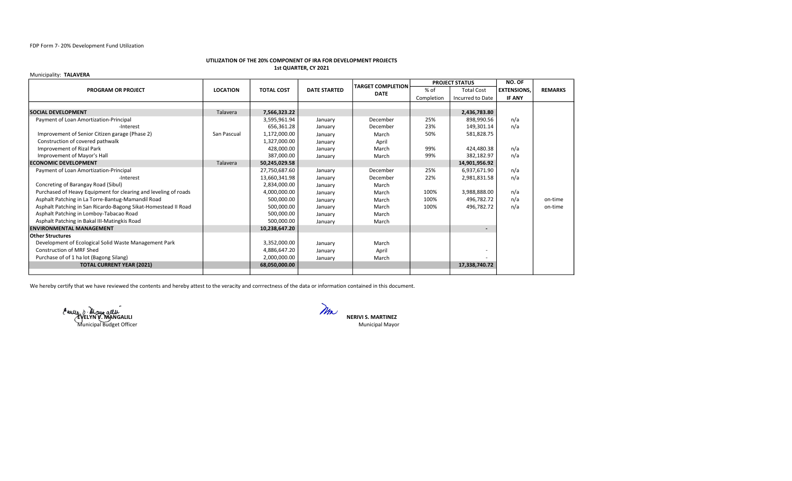## FDP Form 7- 20% Development Fund Utilization

#### UTILIZATION OF THE 20% COMPONENT OF IRA FOR DEVELOPMENT PROJECTS 1st QUARTER, CY 2021

#### Municipality: TALAVERA

|                                                                 |                 |                   |                     | <b>TARGET COMPLETION</b> | <b>PROJECT STATUS</b> |                   | NO. OF             |                |
|-----------------------------------------------------------------|-----------------|-------------------|---------------------|--------------------------|-----------------------|-------------------|--------------------|----------------|
| <b>PROGRAM OR PROJECT</b>                                       | <b>LOCATION</b> | <b>TOTAL COST</b> | <b>DATE STARTED</b> | <b>DATE</b>              | % of                  | <b>Total Cost</b> | <b>EXTENSIONS.</b> | <b>REMARKS</b> |
|                                                                 |                 |                   |                     |                          | Completion            | Incurred to Date  | <b>IF ANY</b>      |                |
|                                                                 |                 |                   |                     |                          |                       |                   |                    |                |
| <b>SOCIAL DEVELOPMENT</b>                                       | Talavera        | 7,566,323.22      |                     |                          |                       | 2,436,783.80      |                    |                |
| Payment of Loan Amortization-Principal                          |                 | 3,595,961.94      | January             | December                 | 25%                   | 898,990.56        | n/a                |                |
| -Interest                                                       |                 | 656,361.28        | January             | December                 | 23%                   | 149,301.14        | n/a                |                |
| Improvement of Senior Citizen garage (Phase 2)                  | San Pascual     | 1,172,000.00      | January             | March                    | 50%                   | 581,828.75        |                    |                |
| Construction of covered pathwalk                                |                 | 1,327,000.00      | January             | April                    |                       |                   |                    |                |
| Improvement of Rizal Park                                       |                 | 428,000.00        | January             | March                    | 99%                   | 424,480.38        | n/a                |                |
| Improvement of Mayor's Hall                                     |                 | 387,000.00        | January             | March                    | 99%                   | 382,182.97        | n/a                |                |
| <b>ECONOMIC DEVELOPMENT</b>                                     | Talavera        | 50,245,029.58     |                     |                          |                       | 14,901,956.92     |                    |                |
| Payment of Loan Amortization-Principal                          |                 | 27,750,687.60     | January             | December                 | 25%                   | 6,937,671.90      | n/a                |                |
| -Interest                                                       |                 | 13,660,341.98     | January             | December                 | 22%                   | 2,981,831.58      | n/a                |                |
| Concreting of Barangay Road (Sibul)                             |                 | 2,834,000.00      | January             | March                    |                       |                   |                    |                |
| Purchased of Heavy Equipment for clearing and leveling of roads |                 | 4,000,000.00      | January             | March                    | 100%                  | 3,988,888.00      | n/a                |                |
| Asphalt Patching in La Torre-Bantug-Mamandil Road               |                 | 500,000.00        | January             | March                    | 100%                  | 496,782.72        | n/a                | on-time        |
| Asphalt Patching in San Ricardo-Bagong Sikat-Homestead II Road  |                 | 500,000.00        | January             | March                    | 100%                  | 496,782.72        | n/a                | on-time        |
| Asphalt Patching in Lomboy-Tabacao Road                         |                 | 500,000.00        | January             | March                    |                       |                   |                    |                |
| Asphalt Patching in Bakal III-Matingkis Road                    |                 | 500,000.00        | January             | March                    |                       |                   |                    |                |
| <b>ENVIRONMENTAL MANAGEMENT</b>                                 |                 | 10,238,647.20     |                     |                          |                       |                   |                    |                |
| Other Structures                                                |                 |                   |                     |                          |                       |                   |                    |                |
| Development of Ecological Solid Waste Management Park           |                 | 3,352,000.00      | January             | March                    |                       |                   |                    |                |
| <b>Construction of MRF Shed</b>                                 |                 | 4,886,647.20      | January             | April                    |                       |                   |                    |                |
| Purchase of of 1 ha lot (Bagong Silang)                         |                 | 2,000,000.00      | January             | March                    |                       |                   |                    |                |
| <b>TOTAL CURRENT YEAR (2021)</b>                                |                 | 68,050,000.00     |                     |                          |                       | 17,338,740.72     |                    |                |
|                                                                 |                 |                   |                     |                          |                       |                   |                    |                |

We hereby certify that we have reviewed the contents and hereby attest to the veracity and corrrectness of the data or information contained in this document.

Municipal Budget Officer

EVELYN V. MANGALILI NERIVI S. MARTINEZ Municipal Mayor